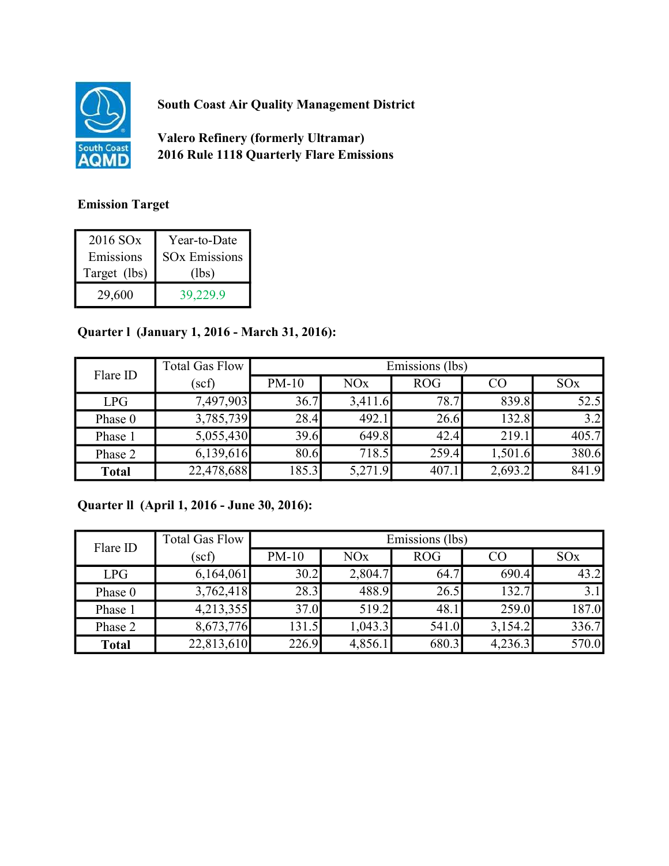

South Coast Air Quality Management District

Valero Refinery (formerly Ultramar) 2016 Rule 1118 Quarterly Flare Emissions

## Emission Target

| 2016 SO <sub>x</sub> | Year-to-Date         |
|----------------------|----------------------|
| Emissions            | <b>SOx Emissions</b> |
| Target (lbs)         | (lbs)                |
|                      |                      |

## Quarter l (January 1, 2016 - March 31, 2016):

| Flare ID     | <b>Total Gas Flow</b> | Emissions (lbs) |                       |            |         |                 |
|--------------|-----------------------|-----------------|-----------------------|------------|---------|-----------------|
|              | $(\mathrm{scf})$      | $PM-10$         | <b>NO<sub>x</sub></b> | <b>ROG</b> | CO      | SO <sub>x</sub> |
| LPG          | 7,497,903             | 36.7            | 3,411.6               | 78.7       | 839.8   | 52.5            |
| Phase 0      | 3,785,739             | 28.4            | 492.1                 | 26.6       | 132.8   | 3.2             |
| Phase 1      | 5,055,430             | 39.6            | 649.8                 | 42.4       | 219.1   | 405.7           |
| Phase 2      | 6,139,616             | 80.6            | 718.5                 | 259.4      | 1,501.6 | 380.6           |
| <b>Total</b> | 22,478,688            | 185.3           | 5,271.9               | 407.1      | 2,693.2 | 841.9           |

## Quarter ll (April 1, 2016 - June 30, 2016):

| Flare ID     | <b>Total Gas Flow</b> | Emissions (lbs) |         |            |         |       |
|--------------|-----------------------|-----------------|---------|------------|---------|-------|
|              | (scf)                 | $PM-10$         | NOx     | <b>ROG</b> | CO      | SOx   |
| LPG          | 6,164,061             | 30.2            | 2,804.7 | 64.7       | 690.4   | 43.2  |
| Phase 0      | 3,762,418             | 28.3            | 488.9   | 26.5       | 132.7   | 3.1   |
| Phase 1      | 4,213,355             | 37.0            | 519.2   | 48.1       | 259.0   | 187.0 |
| Phase 2      | 8,673,776             | 131.5           | 1,043.3 | 541.0      | 3,154.2 | 336.7 |
| <b>Total</b> | 22,813,610            | 226.9           | 4,856.1 | 680.3      | 4,236.3 | 570.0 |